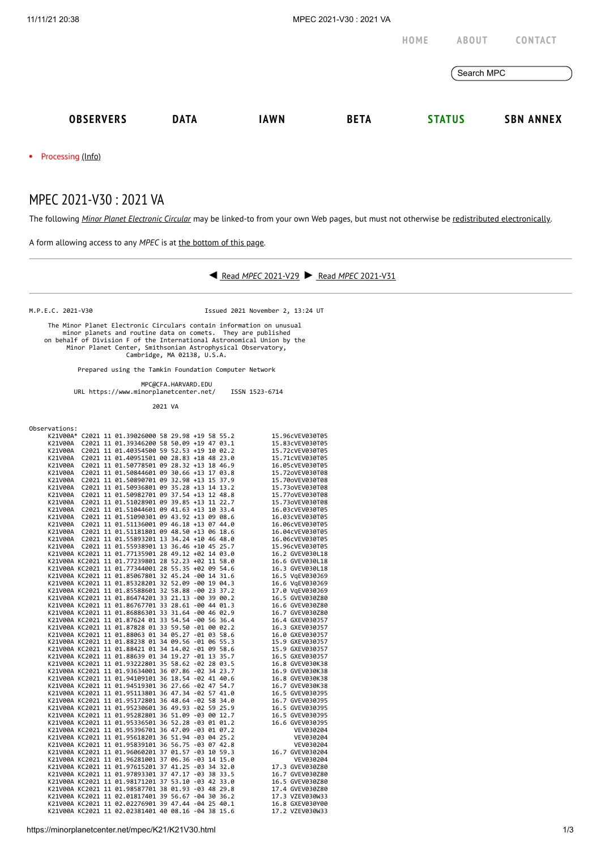## MPEC 2021-V30 : 2021 VA

The following *Minor Planet [Electronic](https://minorplanetcenter.net/iau/services/MPEC.html) Circular* may be linked-to from your own Web pages, but must not otherwise be redistributed [electronically](https://minorplanetcenter.net/iau/WWWPolicy.html).



K21V00A KC2021 11 02.02276901 39 47.44 -04 25 40.1 16.8 GXEV030Y00 K21V00A KC2021 11 02.02381401 40 08.16 -04 38 15.6 17.2 VZEV030W33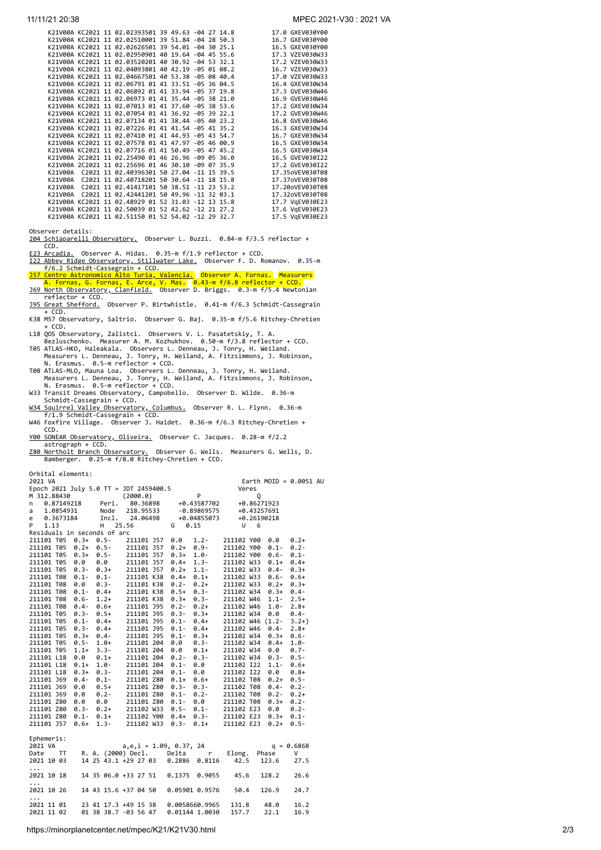|         |  | K21V00A KC2021 11 02.02393501 39 49.63 -04 27 14.8 |  |  | 17.0 GXEV030Y00 |
|---------|--|----------------------------------------------------|--|--|-----------------|
|         |  | K21V00A KC2021 11 02.02510001 39 51.84 -04 28 50.3 |  |  | 16.7 GXEV030Y00 |
|         |  | K21V00A KC2021 11 02.02626501 39 54.01 -04 30 25.1 |  |  | 16.5 GXEV030Y00 |
|         |  | K21V00A KC2021 11 02.02950901 40 19.64 -04 45 55.6 |  |  | 17.3 VZEV030W33 |
|         |  | K21V00A KC2021 11 02.03520201 40 30.92 -04 53 32.1 |  |  | 17.2 VZEV030W33 |
|         |  | K21V00A KC2021 11 02.04093801 40 42.19 -05 01 08.2 |  |  | 16.7 VZEV030W33 |
|         |  | K21V00A KC2021 11 02.04667501 40 53.38 -05 08 40.4 |  |  | 17.0 VZEV030W33 |
|         |  | K21V00A KC2021 11 02.06791 01 41 33.51 -05 36 04.5 |  |  | 16.4 GXEV030W34 |
|         |  | K21V00A KC2021 11 02.06892 01 41 33.94 -05 37 19.8 |  |  | 17.3 GVEV030W46 |
|         |  | K21V00A KC2021 11 02.06973 01 41 35.44 -05 38 21.0 |  |  | 16.9 GVEV030W46 |
|         |  | K21V00A KC2021 11 02.07013 01 41 37.60 -05 38 53.6 |  |  | 17.2 GXEV030W34 |
|         |  | K21V00A KC2021 11 02.07054 01 41 36.92 -05 39 22.1 |  |  | 17.2 GVEV030W46 |
|         |  | K21V00A KC2021 11 02.07134 01 41 38.44 -05 40 23.2 |  |  | 16.8 GVEV030W46 |
|         |  | K21V00A KC2021 11 02.07226 01 41 41.54 -05 41 35.2 |  |  | 16.3 GXEV030W34 |
|         |  | K21V00A KC2021 11 02.07410 01 41 44.93 -05 43 54.7 |  |  | 16.7 GXEV030W34 |
|         |  | K21V00A KC2021 11 02.07578 01 41 47.97 -05 46 00.9 |  |  | 16.5 GXEV030W34 |
|         |  | K21V00A KC2021 11 02.07716 01 41 50.49 -05 47 45.2 |  |  | 16.5 GXEV030W34 |
|         |  | K21V00A 2C2021 11 02.25490 01 46 26.96 -09 05 36.0 |  |  | 16.5 GVEV030I22 |
|         |  | K21V00A 2C2021 11 02.25696 01 46 30.10 -09 07 35.9 |  |  | 17.2 GVEV030I22 |
|         |  | K21V00A C2021 11 02.40396301 50 27.04 -11 15 39.5  |  |  | 17.35oVEV030T08 |
|         |  | K21V00A C2021 11 02.40718201 50 30.64 -11 18 15.8  |  |  | 17.37oVEV030T08 |
|         |  | K21V00A C2021 11 02.41417101 50 38.51 -11 23 53.2  |  |  | 17.20oVEV030T08 |
| K21V00A |  | C2021 11 02.42441201 50 49.96 -11 32 03.1          |  |  | 17.32oVEV030T08 |
|         |  | K21V00A KC2021 11 02.48929 01 52 31.03 -12 13 15.8 |  |  | 17.7 VgEV030E23 |
|         |  | K21V00A KC2021 11 02.50039 01 52 42.62 -12 21 27.2 |  |  | 17.6 VgEV030E23 |
|         |  | K21V00A KC2021 11 02.51150 01 52 54.02 -12 29 32.7 |  |  | 17.5 VgEV030E23 |
|         |  |                                                    |  |  |                 |

Observer details:

[204 Schiaparelli Observatory.](http://www.astrogeo.va.it/) Observer L. Buzzi. 0.84-m f/3.5 reflector + CCD.<br>E23 Arcadia.

<u>[E23 Arcadia.](http://www.arcadiaobservatory.org/)</u> Observer A. Hidas. 0.35-m f/1.9 reflector + CCD.<br><u>[I22 Abbey Ridge Observatory, Stillwater Lake.](https://www.abbeyridgeobservatory.ca/)</u> Observer F. D. Romanov. 0.35-m

f/6.2 Schmidt-Cassegrain + CCD.<br><u>J57 Centro Astronomico Alto Turia, Valencia.</u> Observer A. Fornas. Measurers<br>|A. Fornas, G. Fornas, E. Arce, V. Mas. |0.43-m f/6.8 reflector + CCD.<br><u>[J69 North Observatory, Clanfield.](http://www.hantsastro.org.uk/)</u> Observ

- reflector + CCD.
- [J95 Great Shefford.](http://www.birtwhistle.org.uk/) Observer P. Birtwhistle. 0.41-m f/6.3 Schmidt-Cassegrain  $+$  CCD.
- K38 M57 Observatory, Saltrio. Observer G. Baj. 0.35-m f/5.6 Ritchey-Chretien
- 
- 
- + CCD.<br>
18 QOS Observatory, Zalistci. Observers V. L. Pasatetskiy, T. A.<br>
18 QOS Observatory, Zalistci. Observers L. Denneau, J. Tonry, H. Weiland.<br>
195 ATLAS-HKO, Haleakala. Observers L. Denneau, J. Tonry, H. Weiland.<br>
Me
- 
- [W34 Squirrel Valley Observatory, Columbus.](http://svo.space/) Observer R. L. Flynn. 0.36-m<br>f/1.9 Schmidt-Cassegrain + CCD. W46 Foxfire Village. Observer J. Haidet. 0.36-m f/6.3 Ritchey-Chretien +
- CCD.
- [Y00 SONEAR Observatory, Oliveira.](http://www.observatorio-phoenix.org/t_proj/Sonear/sonear.htm) Observer C. Jacques. 0.28-m f/2.2 astrograph + CCD.

[Z80 Northolt Branch Observatory.](https://www.facebook.com/NBObservatories/) Observer G. Wells. Measurers G. Wells, D. Bamberger. 0.25-m f/8.0 Ritchey-Chretien + CCD.

Orbital elements:

| 2021 VA<br>Earth MOID = $0.0051$ AU             |                              |                            |                |                  |         |              |  |  |  |  |
|-------------------------------------------------|------------------------------|----------------------------|----------------|------------------|---------|--------------|--|--|--|--|
| Epoch 2021 July 5.0 TT = JDT 2459400.5<br>Veres |                              |                            |                |                  |         |              |  |  |  |  |
| P<br>M 312.88430<br>(2000.0)<br>Q               |                              |                            |                |                  |         |              |  |  |  |  |
| 0.87149218<br>n                                 | Peri.                        | 80.36898                   | +0.43587702    | +0.86271923      |         |              |  |  |  |  |
| 1.0854931<br>a                                  | Node                         | 218.95533                  | -0.89869575    | +0.43257691      |         |              |  |  |  |  |
| 0.3673184<br>e                                  | Incl.                        | 24.06498                   | +0.04855073    | +0.26190218      |         |              |  |  |  |  |
| 1.13<br>P                                       | 25.56<br>н                   | G                          | 0.15           | U<br>6           |         |              |  |  |  |  |
| Residuals in seconds of arc                     |                              |                            |                |                  |         |              |  |  |  |  |
| 211101 T05 0.3+ 0.5-                            |                              | 0.0<br>211101 J57          | $1.2 -$        | 211102 Y00       | 0.0     | $0.2+$       |  |  |  |  |
| 211101 T05                                      | $0.2 +$<br>$0.5 -$           | 211101 J57<br>$0.2 +$      | $0.9 -$        | 211102 Y00       | $0.1 -$ | $0.2 -$      |  |  |  |  |
| 211101 T05                                      | $0.3 + 0.5 -$                | $0.3+$<br>211101 J57       | $1.0 -$        | 211102 Y00       | $0.6 -$ | $0.1 -$      |  |  |  |  |
| 0.0<br>211101 T05                               | 0.0                          | $0.4 +$<br>211101 J57      | $1.3 -$        | 211102 W33       | $0.1 +$ | $0.4+$       |  |  |  |  |
| 211101 T05                                      | $0.3 -$                      | $0.2 +$                    | $1.1 -$        | 211102 W33       | $0.4 -$ | $0.3+$       |  |  |  |  |
| 211101 T08 0.1-                                 | $0.3+$ 211101 J57<br>$0.1 -$ | 211101 K38 0.4+ 0.1+       |                | 211102 W33       | $0.6 -$ | $0.6+$       |  |  |  |  |
| 0.0<br>211101 T08                               | $0.3 -$                      | 211101 K38<br>$0.2 -$      | $0.2+$         | 211102 W33       | $0.2 +$ | $0.3+$       |  |  |  |  |
|                                                 | $0.1 -$                      |                            |                |                  |         |              |  |  |  |  |
| 211101 T08                                      | $0.4 +$                      | 211101 K38                 | $0.5 + 0.3$    | 211102 W34       | $0.3+$  | $0.4 -$      |  |  |  |  |
| 211101 T08 0.6-                                 | $1.2+$                       | 211101 K38 0.3+ 0.3-       |                | 211102 W46       | $1.1 -$ | $2.5+$       |  |  |  |  |
| 211101 T08                                      | $0.6+$<br>$0.4 -$            | 211101 J95<br>$0.2 -$      | $0.2 +$        | 211102 W46       | $1.0 -$ | $2.8+$       |  |  |  |  |
| 211101 T05                                      | $0.3 -$<br>$0.5+$<br>0.4+    | $0.3 -$<br>211101 J95      | $0.3 + 0.4 +$  | 211102 W34       | 0.0     | $0.4 -$      |  |  |  |  |
| 211101 T05                                      | $0.1 -$                      | 211101 J95 0.1-            |                | 211102 W46 (1.2- |         | $3.2+)$      |  |  |  |  |
| 211101 T05                                      | $0.3 -$<br>$0.4+$            | 211101 J95<br>$0.1 -$      | $0.4+$         | 211102 W46       | $0.4 -$ | $2.8+$       |  |  |  |  |
| 211101 T05                                      | $0.3+$<br>$0.4 -$            | $0.1 -$<br>211101 J95      | $0.3+$         | 211102 W34 0.3+  |         | $0.6 -$      |  |  |  |  |
| 211101 T05                                      | $1.0 +$<br>$0.5 -$           | 0.0<br>211101 204          | $0.3 -$        | 211102 W34       | $0.4 +$ | $1.0 -$      |  |  |  |  |
| $1.1+$<br>211101 T05                            | $3.3 -$                      | 0.0<br>211101 204          | $0.1 +$        | 211102 W34       | 0.0     | $0.7 -$      |  |  |  |  |
| 0.0<br>211101 L18                               | $0.1+$                       | 211101 204  0.2-  0.3-     |                | 211102 W34 0.3-  |         | $0.5 -$      |  |  |  |  |
| 211101 L18                                      | $1.0 -$<br>$0.1+$            | 211101 204<br>$0.1 -$      | 0.0            | 211102 I22       | $1.1 -$ | $0.6+$       |  |  |  |  |
| 211101 L18<br>$0.3+$                            | $0.3 - 0.3 - 0.1 - 0.02$     | 211101 204<br>$0.1 -$      | 0.0            | 211102 I22       | 0.0     | $0.8 +$      |  |  |  |  |
| 211101 J69                                      | $0.4 -$<br>$0.1 -$           | 211101 Z80 0.1+            | $0.6+$         | 211102 T08       | $0.2 +$ | $0.5 -$      |  |  |  |  |
| 211101 J69<br>0.0                               | $0.5+$                       | 211101 Z80<br>$0.3 -$      | $0.3 -$        | 211102 T08       | $0.4 -$ | $0.2 -$      |  |  |  |  |
| 211101 J69<br>0.0                               | $0.2-$                       |                            |                | 211102 T08       | $0.2 -$ | $0.2+$       |  |  |  |  |
| 211101 Z80<br>0.0                               | 0.0                          |                            |                | 211102 T08       | $0.3+$  | $0.2 -$      |  |  |  |  |
| 211101 Z80                                      | $0.3 - 0.2 +$                | $0.5 -$<br>211102 W33      | $0.1 -$        | 211102 E23       | 0.0     | $0.2 -$      |  |  |  |  |
| 211101 Z80 0.1-                                 | $0.1+$                       | 211102 Y00 0.4+            | $0.3 -$        | 211102 E23       | $0.3+$  | $0.1 -$      |  |  |  |  |
| 211101 J57                                      | $0.6+$<br>$1.3 -$            | 211102 W33<br>$0.3 -$      | $0.1+$         | 211102 E23       | $0.2 +$ | $0.5 -$      |  |  |  |  |
|                                                 |                              |                            |                |                  |         |              |  |  |  |  |
| Ephemeris:                                      |                              |                            |                |                  |         |              |  |  |  |  |
| 2021 VA                                         |                              | $a, e, i = 1.09, 0.37, 24$ |                |                  |         | $q = 0.6868$ |  |  |  |  |
| Date<br>$\mathsf{T} \mathsf{T}$                 | R. A. (2000) Decl.           | Delta                      | r              | Elong.           | Phase   | v            |  |  |  |  |
| 2021 10 03                                      | 14 25 43.1 +29 27 03         |                            | 0.2886 0.8116  | 42.5             | 123.6   | 27.5         |  |  |  |  |
|                                                 |                              |                            |                |                  |         |              |  |  |  |  |
| .<br>2021 10 18                                 | 14 35 06.0 +33 27 51         | 0.1375                     | 0.9055         | 45.6             | 128.2   | 26.6         |  |  |  |  |
|                                                 |                              |                            |                |                  |         |              |  |  |  |  |
| .                                               | 14 43 15.6 +37 04 50         |                            |                |                  | 126.9   | 24.7         |  |  |  |  |
| 2021 10 26                                      |                              |                            | 0.05901 0.9576 | 50.4             |         |              |  |  |  |  |
| .                                               |                              |                            |                |                  |         |              |  |  |  |  |
| 2021 11 01                                      | 23 41 17.3 +49 15 38         |                            | 0.0058660.9965 | 131.8            | 48.0    | 16.2         |  |  |  |  |
| 2021 11 02                                      | 01 38 38.7 -03 56 47         |                            | 0.01144 1.0030 | 157.7            | 22.1    | 16.9         |  |  |  |  |